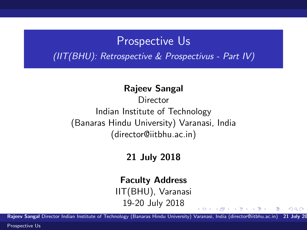### Prospective Us

(IIT(BHU): Retrospective & Prospectivus - Part IV)

#### Rajeev Sangal

**Director** Indian Institute of Technology (Banaras Hindu University) Varanasi, India (director@iitbhu.ac.in)

### 21 July 2018

#### Faculty Address

IIT(BHU), Varanasi 19-20 July 2018

Rajeev Sangal Director Indian Institute of Technology (Banaras Hindu University) Varanasi, India (director@iitbhu.ac.in) 21 July 20

 $\left\{ \begin{array}{ccc} 1 & 0 & 0 \\ 0 & 1 & 0 \end{array} \right.$ 

<span id="page-0-0"></span> $\Omega$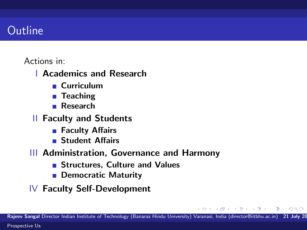### **Outline**

### Actions in:

- I Academics and Research
	- Curriculum
	- Teaching
	- Research  $\mathcal{L}_{\mathcal{A}}$
- II Faculty and Students
	- Faculty Affairs
	- **Student Affairs**
- III Administration, Governance and Harmony
	- **Structures, Culture and Values**
	- **Democratic Maturity**
- IV Faculty Self-Development

母→ (ヨ )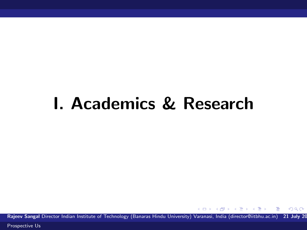# I. Academics & Research

Rajeev Sangal Director Indian Institute of Technology (Banaras Hindu University) Varanasi, India (director@iitbhu.ac.in) 21 July 20

 $\langle \overline{m} \rangle$  and  $\langle \overline{m} \rangle$  and  $\langle \overline{m} \rangle$ 

4.0.3

 $QQ$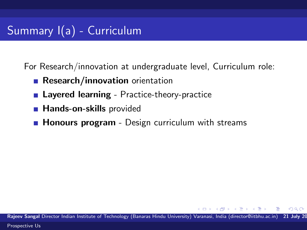# Summary I(a) - Curriculum

For Research/innovation at undergraduate level, Curriculum role:

- **Research/innovation** orientation
- **Layered learning** Practice-theory-practice
- **Hands-on-skills provided**
- **Honours program** Design curriculum with streams

Rajeev Sangal Director Indian Institute of Technology (Banaras Hindu University) Varanasi, India (director@iitbhu.ac.in) 21 July 20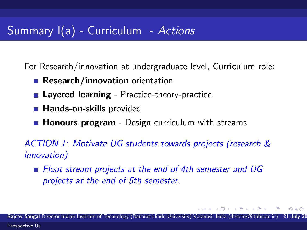# Summary  $I(a)$  - Curriculum - Actions

For Research/innovation at undergraduate level, Curriculum role:

- **Research/innovation** orientation
- **Layered learning** Practice-theory-practice
- **Hands-on-skills provided**
- **Honours program** Design curriculum with streams

ACTION 1: Motivate UG students towards projects (research & innovation)

**Float stream projects at the end of 4th semester and UG** projects at the end of 5th semester.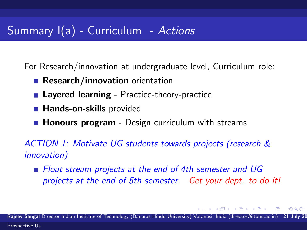# Summary I(a) - Curriculum - Actions

For Research/innovation at undergraduate level, Curriculum role:

- **Research/innovation** orientation
- **Layered learning** Practice-theory-practice
- **Hands-on-skills provided**
- **Honours program** Design curriculum with streams

ACTION 1: Motivate UG students towards projects (research & innovation)

**Float stream projects at the end of 4th semester and UG** projects at the end of 5th semester. Get your dept. to do it!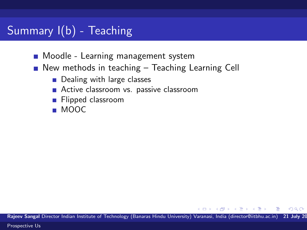# Summary I(b) - Teaching

- **Moodle Learning management system**
- New methods in teaching Teaching Learning Cell
	- Dealing with large classes
	- Active classroom vs. passive classroom
	- **Flipped classroom**
	- MOOC

Rajeev Sangal Director Indian Institute of Technology (Banaras Hindu University) Varanasi, India (director@iitbhu.ac.in) 21 July 20

**何 ) ( ヨ ) ( ヨ )** 

 $\Omega$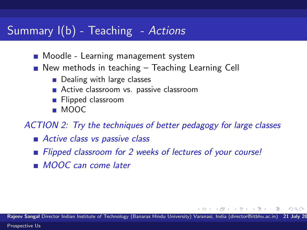### Summary I(b) - Teaching - Actions

- **Moodle Learning management system**
- New methods in teaching Teaching Learning Cell
	- Dealing with large classes
	- Active classroom vs. passive classroom
	- **Flipped classroom**
	- MOOC

ACTION 2: Try the techniques of better pedagogy for large classes

- Active class vs passive class
- Flipped classroom for 2 weeks of lectures of your course!
- **MOOC** can come later

Rajeev Sangal Director Indian Institute of Technology (Banaras Hindu University) Varanasi, India (director@iitbhu.ac.in)

**North Book**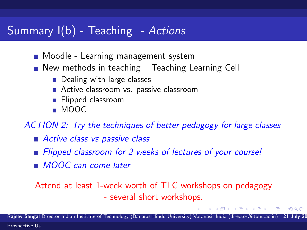### Summary I(b) - Teaching - Actions

- **Moodle Learning management system**
- New methods in teaching Teaching Learning Cell
	- Dealing with large classes
	- Active classroom vs. passive classroom
	- **Flipped classroom**
	- MOOC

ACTION 2: Try the techniques of better pedagogy for large classes

- Active class vs passive class
- Flipped classroom for 2 weeks of lectures of your course!
- **MOOC** can come later

Attend at least 1-week worth of TLC workshops on pedagogy - several short workshops.

( 母 ) ( ヨ ) (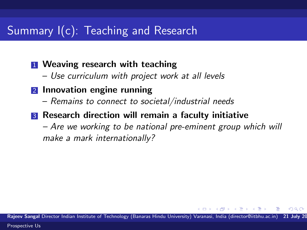### Summary I(c): Teaching and Research

### **1** Weaving research with teaching

– Use curriculum with project work at all levels

#### 2 Innovation engine running

– Remains to connect to societal/industrial needs

### **3** Research direction will remain a faculty initiative

– Are we working to be national pre-eminent group which will make a mark internationally?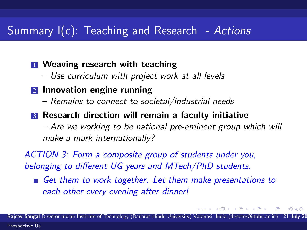### Summary I(c): Teaching and Research - Actions

**1** Weaving research with teaching

- Use curriculum with project work at all levels
- 2 Innovation engine running
	- Remains to connect to societal/industrial needs
- **3** Research direction will remain a faculty initiative

– Are we working to be national pre-eminent group which will make a mark internationally?

ACTION 3: Form a composite group of students under you, belonging to different UG years and MTech/PhD students.

Get them to work together. Let them make presentations to each other every evening after dinner!

Rajeev Sangal Director Indian Institute of Technology (Banaras Hindu University) Varanasi, India (director@iitbhu.ac.in) [Prospective Us](#page-0-0)

化重新设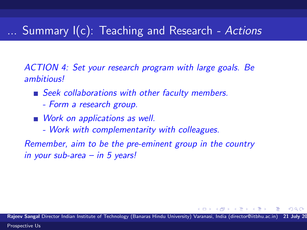# Summary  $I(c)$ : Teaching and Research - Actions

ACTION 4: Set your research program with large goals. Be ambitious!

- Seek collaborations with other faculty members.
	- Form a research group.
- Work on applications as well.
	- Work with complementarity with colleagues.

Remember, aim to be the pre-eminent group in the country in your sub-area – in 5 years!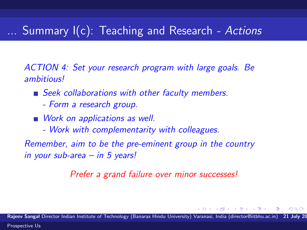## ... Summary I(c): Teaching and Research - Actions

ACTION 4: Set your research program with large goals. Be ambitious!

- Seek collaborations with other faculty members.
	- Form a research group.
- Work on applications as well.
	- Work with complementarity with colleagues.

Remember, aim to be the pre-eminent group in the country in your sub-area – in 5 years!

Prefer a grand failure over minor successes!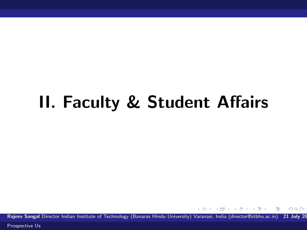# II. Faculty & Student Affairs

Rajeev Sangal Director Indian Institute of Technology (Banaras Hindu University) Varanasi, India (director@iitbhu.ac.in) 21 July 20

 $4.171 +$ 

重き

 $\Omega$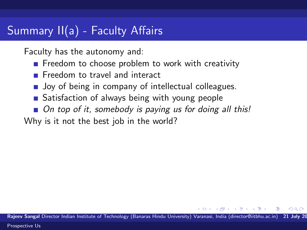## Summary II(a) - Faculty Affairs

Faculty has the autonomy and:

- $\blacksquare$  Freedom to choose problem to work with creativity
- **Freedom to travel and interact**
- **Joy of being in company of intellectual colleagues.**
- Satisfaction of always being with young people
- On top of it, somebody is paying us for doing all this!

Why is it not the best job in the world?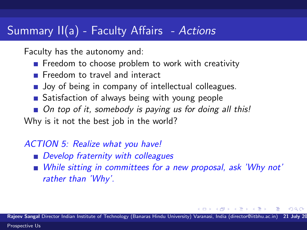### Summary II(a) - Faculty Affairs - Actions

Faculty has the autonomy and:

- $\blacksquare$  Freedom to choose problem to work with creativity
- Freedom to travel and interact
- **Joy of being in company of intellectual colleagues.**
- Satisfaction of always being with young people
- On top of it, somebody is paying us for doing all this!

Why is it not the best job in the world?

### ACTION 5: Realize what you have!

- **Develop fraternity with colleagues**
- While sitting in committees for a new proposal, ask 'Why not' rather than 'Why'.

Rajeev Sangal Director Indian Institute of Technology (Banaras Hindu University) Varanasi, India (director@iitbhu.ac.in) [Prospective Us](#page-0-0)

<span id="page-15-0"></span> $\rightarrow$   $\equiv$   $\rightarrow$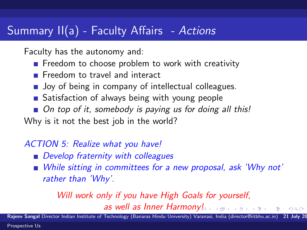### Summary II(a) - Faculty Affairs - Actions

Faculty has the autonomy and:

- $\blacksquare$  Freedom to choose problem to work with creativity
- **Freedom to travel and interact**
- **Joy of being in company of intellectual colleagues.**
- Satisfaction of always being with young people
- On top of it, somebody is paying us for doing all this!

Why is it not the best job in the world?

### ACTION 5: Realize what you have!

- **Develop fraternity with colleagues**
- While sitting in committees for a new proposal, ask 'Why not' rather than 'Why'.

### Will work only if you have High Goals for yourself, as well as Inner Harmo[ny!](#page-15-0)

Rajeev Sangal Director Indian Institute of Technology (Banaras Hindu University) Varanasi, India (director@iitbhu.ac.in)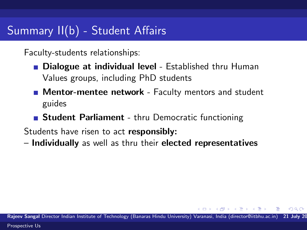# Summary II(b) - Student Affairs

Faculty-students relationships:

- **Dialogue at individual level Established thru Human** Values groups, including PhD students
- **Mentor-mentee network** Faculty mentors and student guides
- **Student Parliament** thru Democratic functioning

Students have risen to act responsibly:

– Individually as well as thru their elected representatives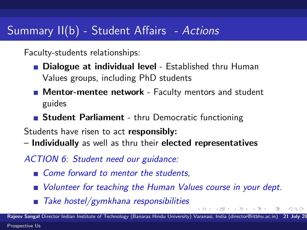# Summary II(b) - Student Affairs - Actions

Faculty-students relationships:

- **Dialogue at individual level Established thru Human** Values groups, including PhD students
- **Mentor-mentee network** Faculty mentors and student guides
- **Student Parliament** thru Democratic functioning

Students have risen to act responsibly:

– Individually as well as thru their elected representatives

ACTION 6: Student need our guidance:

- Come forward to mentor the students,
- **Nolunteer for teaching the Human Values course in your dept.**
- $\blacksquare$  Take hostel/gymkhana responsibilities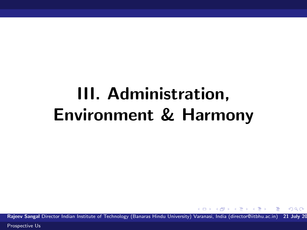# III. Administration, Environment & Harmony

Rajeev Sangal Director Indian Institute of Technology (Banaras Hindu University) Varanasi, India (director@iitbhu.ac.in) 21 July 20

**何 > マミ > マ** 

<span id="page-19-0"></span> $\Omega$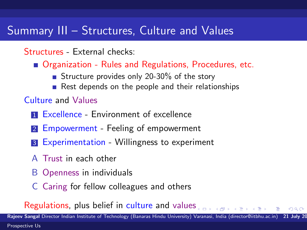### Summary III – Structures, Culture and Values

### Structures - External checks:

- Organization Rules and Regulations, Procedures, etc.
	- Structure provides only 20-30% of the story
	- Rest depends on the people and their relationships

### Culture and Values

- **1 Excellence Environment of excellence**
- 2 Empowerment Feeling of empowerment
- **3** Experimentation Willingness to experiment
- A Trust in each other
- B Openness in individuals
- C Caring for fellow colleagues and others

Regulation[s](#page-19-0), plus belief in culture and values

Rajeev Sangal Director Indian Institute of Technology (Banaras Hindu University) Varanasi, India (director@iitbhu.ac.in)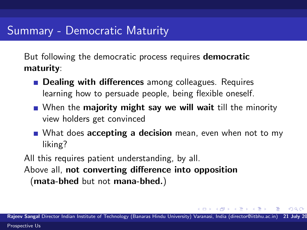But following the democratic process requires **democratic** maturity:

- **Dealing with differences** among colleagues. Requires learning how to persuade people, being flexible oneself.
- When the **majority might say we will wait** till the minority view holders get convinced
- What does **accepting a decision** mean, even when not to my liking?

All this requires patient understanding, by all.

Above all, not converting difference into opposition (mata-bhed but not mana-bhed.)

 $\rightarrow$   $\equiv$   $\rightarrow$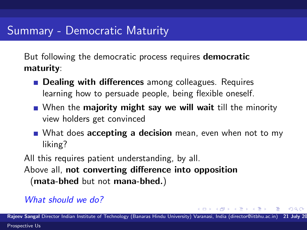But following the democratic process requires **democratic** maturity:

- **Dealing with differences** among colleagues. Requires learning how to persuade people, being flexible oneself.
- When the **majority might say we will wait** till the minority view holders get convinced
- What does **accepting a decision** mean, even when not to my liking?

All this requires patient understanding, by all.

Above all, not converting difference into opposition (mata-bhed but not mana-bhed.)

### What should we do?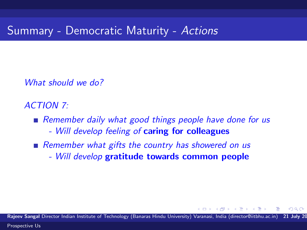What should we do?

ACTION 7:

Remember daily what good things people have done for us

- Will develop feeling of caring for colleagues
- Remember what gifts the country has showered on us - Will develop gratitude towards common people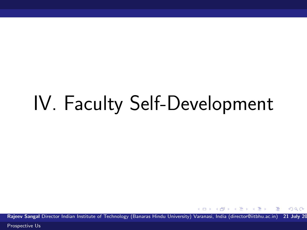# IV. Faculty Self-Development

Rajeev Sangal Director Indian Institute of Technology (Banaras Hindu University) Varanasi, India (director@iitbhu.ac.in) 21 July 20

4.0.3

 $\Omega$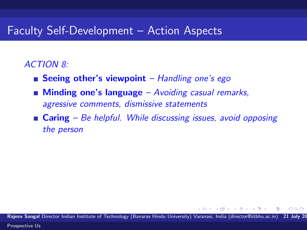### Faculty Self-Development – Action Aspects

### ACTION 8:

- **Seeing other's viewpoint** Handling one's ego
- **Minding one's language** Avoiding casual remarks, agressive comments, dismissive statements
- **Caring** Be helpful. While discussing issues, avoid opposing the person

Rajeev Sangal Director Indian Institute of Technology (Banaras Hindu University) Varanasi, India (director@iitbhu.ac.in)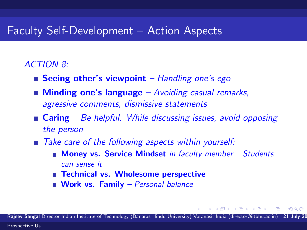### Faculty Self-Development – Action Aspects

#### ACTION 8:

- **Seeing other's viewpoint** Handling one's ego
- **Minding one's language** Avoiding casual remarks, agressive comments, dismissive statements
- **Caring** Be helpful. While discussing issues, avoid opposing the person
- Take care of the following aspects within yourself:
	- **Money vs. Service Mindset** in faculty member  $-$  Students can sense it
	- Technical vs. Wholesome perspective
	- **Work vs. Family** Personal balance

Rajeev Sangal Director Indian Institute of Technology (Banaras Hindu University) Varanasi, India (director@iitbhu.ac.in)

医尿囊的区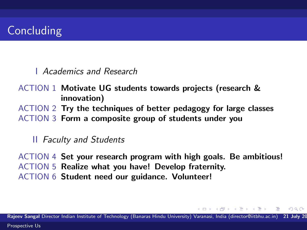I Academics and Research

ACTION 1 Motivate UG students towards projects (research & innovation)

ACTION 2 Try the techniques of better pedagogy for large classes ACTION 3 Form a composite group of students under you

#### **II** Faculty and Students

ACTION 4 Set your research program with high goals. Be ambitious! ACTION 5 Realize what you have! Develop fraternity. ACTION 6 Student need our guidance. Volunteer!

Rajeev Sangal Director Indian Institute of Technology (Banaras Hindu University) Varanasi, India (director@iitbhu.ac.in) [Prospective Us](#page-0-0)

- 4 国 国 3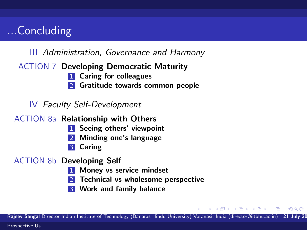# ...Concluding

### III Administration, Governance and Harmony

#### ACTION 7 Developing Democratic Maturity

- **1** Caring for colleagues
- 2 Gratitude towards common people

### IV Faculty Self-Development

ACTION 8a Relationship with Others

- **1** Seeing others' viewpoint
- 2 Minding one's language
- 3 Caring

#### ACTION 8b Developing Self

- 1 Money vs service mindset
- 2 Technical vs wholesome perspective
- **3** Work and family balance

Rajeev Sangal Director Indian Institute of Technology (Banaras Hindu University) Varanasi, India (director@iitbhu.ac.in) 21 July 20

**SACTOR**